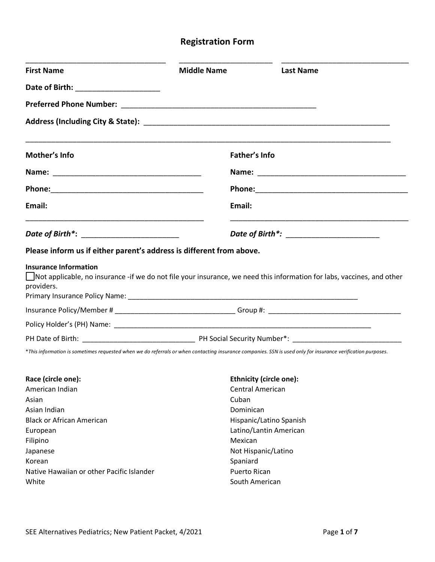# **Registration Form**

| <b>First Name</b>                                                                                                                                           | <b>Middle Name</b>  | <b>Last Name</b>                                                                                                       |
|-------------------------------------------------------------------------------------------------------------------------------------------------------------|---------------------|------------------------------------------------------------------------------------------------------------------------|
| Date of Birth: _________________________                                                                                                                    |                     |                                                                                                                        |
|                                                                                                                                                             |                     |                                                                                                                        |
|                                                                                                                                                             |                     |                                                                                                                        |
| Mother's Info                                                                                                                                               |                     | Father's Info                                                                                                          |
|                                                                                                                                                             |                     |                                                                                                                        |
| Phone: 2008 2010 2010 2010 2010 2010 2021 2022 2023 2024 2022 2023 2024 2022 2023 2024 2022 2023 2024 2025 20                                               |                     |                                                                                                                        |
| Email:                                                                                                                                                      | Email:              |                                                                                                                        |
| <u> 1989 - Johann Stoff, deutscher Stoff, der Stoff, der Stoff, der Stoff, der Stoff, der Stoff, der Stoff, der S</u>                                       |                     |                                                                                                                        |
| Please inform us if either parent's address is different from above.                                                                                        |                     |                                                                                                                        |
| <b>Insurance Information</b><br>providers.                                                                                                                  |                     | Not applicable, no insurance -if we do not file your insurance, we need this information for labs, vaccines, and other |
|                                                                                                                                                             |                     |                                                                                                                        |
|                                                                                                                                                             |                     |                                                                                                                        |
|                                                                                                                                                             |                     |                                                                                                                        |
| *This information is sometimes requested when we do referrals or when contacting insurance companies. SSN is used only for insurance verification purposes. |                     |                                                                                                                        |
| Race (circle one):                                                                                                                                          |                     | <b>Ethnicity (circle one):</b>                                                                                         |
| American Indian                                                                                                                                             |                     | <b>Central American</b>                                                                                                |
| Asian                                                                                                                                                       | Cuban               |                                                                                                                        |
| Asian Indian                                                                                                                                                | Dominican           |                                                                                                                        |
| <b>Black or African American</b>                                                                                                                            |                     | Hispanic/Latino Spanish                                                                                                |
| European                                                                                                                                                    |                     | Latino/Lantin American                                                                                                 |
| Filipino                                                                                                                                                    | Mexican             |                                                                                                                        |
| Japanese                                                                                                                                                    |                     | Not Hispanic/Latino                                                                                                    |
| Korean                                                                                                                                                      | Spaniard            |                                                                                                                        |
| Native Hawaiian or other Pacific Islander                                                                                                                   | <b>Puerto Rican</b> |                                                                                                                        |
| White                                                                                                                                                       |                     | South American                                                                                                         |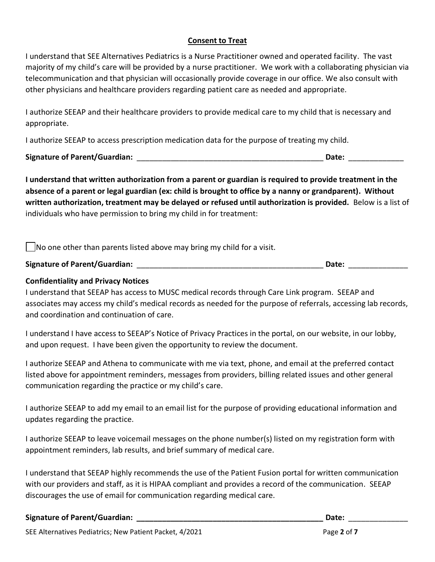#### **Consent to Treat**

I understand that SEE Alternatives Pediatrics is a Nurse Practitioner owned and operated facility. The vast majority of my child's care will be provided by a nurse practitioner. We work with a collaborating physician via telecommunication and that physician will occasionally provide coverage in our office. We also consult with other physicians and healthcare providers regarding patient care as needed and appropriate.

I authorize SEEAP and their healthcare providers to provide medical care to my child that is necessary and appropriate.

I authorize SEEAP to access prescription medication data for the purpose of treating my child.

**Signature of Parent/Guardian:** \_\_\_\_\_\_\_\_\_\_\_\_\_\_\_\_\_\_\_\_\_\_\_\_\_\_\_\_\_\_\_\_\_\_\_\_\_\_\_\_\_\_\_\_ **Date:** \_\_\_\_\_\_\_\_\_\_\_\_\_

**I understand that written authorization from a parent or guardian is required to provide treatment in the absence of a parent or legal guardian (ex: child is brought to office by a nanny or grandparent). Without written authorization, treatment may be delayed or refused until authorization is provided.** Below is a list of individuals who have permission to bring my child in for treatment:

 $\vert$  No one other than parents listed above may bring my child for a visit.

**Signature of Parent/Guardian:** \_\_\_\_\_\_\_\_\_\_\_\_\_\_\_\_\_\_\_\_\_\_\_\_\_\_\_\_\_\_\_\_\_\_\_\_\_\_\_\_\_\_\_\_ **Date:** \_\_\_\_\_\_\_\_\_\_\_\_\_\_

## **Confidentiality and Privacy Notices**

I understand that SEEAP has access to MUSC medical records through Care Link program. SEEAP and associates may access my child's medical records as needed for the purpose of referrals, accessing lab records, and coordination and continuation of care.

I understand I have access to SEEAP's Notice of Privacy Practices in the portal, on our website, in our lobby, and upon request. I have been given the opportunity to review the document.

I authorize SEEAP and Athena to communicate with me via text, phone, and email at the preferred contact listed above for appointment reminders, messages from providers, billing related issues and other general communication regarding the practice or my child's care.

I authorize SEEAP to add my email to an email list for the purpose of providing educational information and updates regarding the practice.

I authorize SEEAP to leave voicemail messages on the phone number(s) listed on my registration form with appointment reminders, lab results, and brief summary of medical care.

I understand that SEEAP highly recommends the use of the Patient Fusion portal for written communication with our providers and staff, as it is HIPAA compliant and provides a record of the communication. SEEAP discourages the use of email for communication regarding medical care.

#### **Signature of Parent/Guardian: \_\_\_\_\_\_\_\_\_\_\_\_\_\_\_\_\_\_\_\_\_\_\_\_\_\_\_\_\_\_\_\_\_\_\_\_\_\_\_\_\_\_\_\_ Date:** \_\_\_\_\_\_\_\_\_\_\_\_\_\_

SEE Alternatives Pediatrics; New Patient Packet, 4/2021 **Page 2** of 7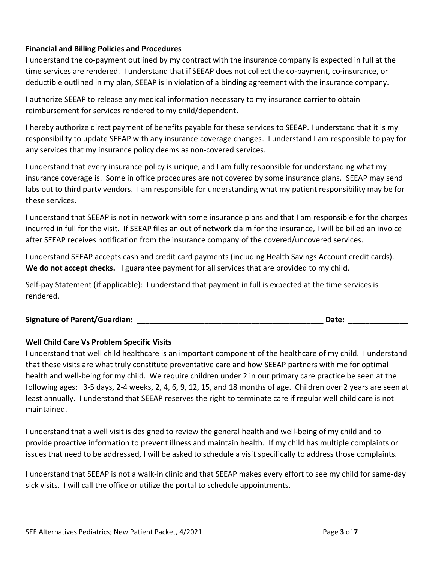#### **Financial and Billing Policies and Procedures**

I understand the co-payment outlined by my contract with the insurance company is expected in full at the time services are rendered. I understand that if SEEAP does not collect the co-payment, co-insurance, or deductible outlined in my plan, SEEAP is in violation of a binding agreement with the insurance company.

I authorize SEEAP to release any medical information necessary to my insurance carrier to obtain reimbursement for services rendered to my child/dependent.

I hereby authorize direct payment of benefits payable for these services to SEEAP. I understand that it is my responsibility to update SEEAP with any insurance coverage changes. I understand I am responsible to pay for any services that my insurance policy deems as non-covered services.

I understand that every insurance policy is unique, and I am fully responsible for understanding what my insurance coverage is. Some in office procedures are not covered by some insurance plans. SEEAP may send labs out to third party vendors. I am responsible for understanding what my patient responsibility may be for these services.

I understand that SEEAP is not in network with some insurance plans and that I am responsible for the charges incurred in full for the visit. If SEEAP files an out of network claim for the insurance, I will be billed an invoice after SEEAP receives notification from the insurance company of the covered/uncovered services.

I understand SEEAP accepts cash and credit card payments (including Health Savings Account credit cards). **We do not accept checks.** I guarantee payment for all services that are provided to my child.

Self-pay Statement (if applicable): I understand that payment in full is expected at the time services is rendered.

## **Signature of Parent/Guardian:** \_\_\_\_\_\_\_\_\_\_\_\_\_\_\_\_\_\_\_\_\_\_\_\_\_\_\_\_\_\_\_\_\_\_\_\_\_\_\_\_\_\_\_\_ **Date:** \_\_\_\_\_\_\_\_\_\_\_\_\_\_

## **Well Child Care Vs Problem Specific Visits**

I understand that well child healthcare is an important component of the healthcare of my child. I understand that these visits are what truly constitute preventative care and how SEEAP partners with me for optimal health and well-being for my child. We require children under 2 in our primary care practice be seen at the following ages: 3-5 days, 2-4 weeks, 2, 4, 6, 9, 12, 15, and 18 months of age. Children over 2 years are seen at least annually. I understand that SEEAP reserves the right to terminate care if regular well child care is not maintained.

I understand that a well visit is designed to review the general health and well-being of my child and to provide proactive information to prevent illness and maintain health. If my child has multiple complaints or issues that need to be addressed, I will be asked to schedule a visit specifically to address those complaints.

I understand that SEEAP is not a walk-in clinic and that SEEAP makes every effort to see my child for same-day sick visits. I will call the office or utilize the portal to schedule appointments.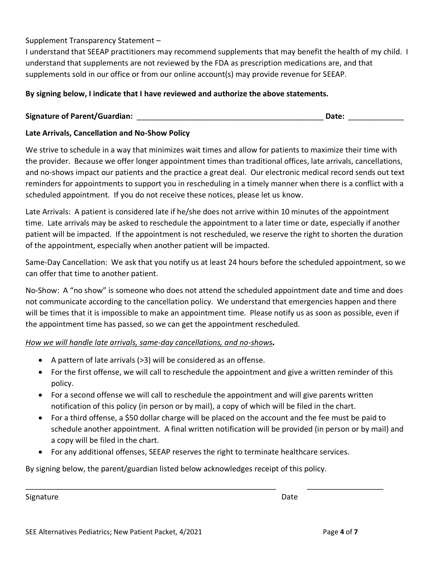#### Supplement Transparency Statement –

I understand that SEEAP practitioners may recommend supplements that may benefit the health of my child. I understand that supplements are not reviewed by the FDA as prescription medications are, and that supplements sold in our office or from our online account(s) may provide revenue for SEEAP.

#### **By signing below, I indicate that I have reviewed and authorize the above statements.**

## **Signature of Parent/Guardian:** \_\_\_\_\_\_\_\_\_\_\_\_\_\_\_\_\_\_\_\_\_\_\_\_\_\_\_\_\_\_\_\_\_\_\_\_\_\_\_\_\_\_\_\_ **Date:** \_\_\_\_\_\_\_\_\_\_\_\_\_

#### **Late Arrivals, Cancellation and No-Show Policy**

We strive to schedule in a way that minimizes wait times and allow for patients to maximize their time with the provider. Because we offer longer appointment times than traditional offices, late arrivals, cancellations, and no-shows impact our patients and the practice a great deal. Our electronic medical record sends out text reminders for appointments to support you in rescheduling in a timely manner when there is a conflict with a scheduled appointment. If you do not receive these notices, please let us know.

Late Arrivals: A patient is considered late if he/she does not arrive within 10 minutes of the appointment time. Late arrivals may be asked to reschedule the appointment to a later time or date, especially if another patient will be impacted. If the appointment is not rescheduled, we reserve the right to shorten the duration of the appointment, especially when another patient will be impacted.

Same-Day Cancellation: We ask that you notify us at least 24 hours before the scheduled appointment, so we can offer that time to another patient.

No-Show: A "no show" is someone who does not attend the scheduled appointment date and time and does not communicate according to the cancellation policy. We understand that emergencies happen and there will be times that it is impossible to make an appointment time. Please notify us as soon as possible, even if the appointment time has passed, so we can get the appointment rescheduled.

#### *How we will handle late arrivals, same-day cancellations, and no-shows.*

- A pattern of late arrivals (>3) will be considered as an offense.
- For the first offense, we will call to reschedule the appointment and give a written reminder of this policy.
- For a second offense we will call to reschedule the appointment and will give parents written notification of this policy (in person or by mail), a copy of which will be filed in the chart.
- For a third offense, a \$50 dollar charge will be placed on the account and the fee must be paid to schedule another appointment. A final written notification will be provided (in person or by mail) and a copy will be filed in the chart.
- For any additional offenses, SEEAP reserves the right to terminate healthcare services.

\_\_\_\_\_\_\_\_\_\_\_\_\_\_\_\_\_\_\_\_\_\_\_\_\_\_\_\_\_\_\_\_\_\_\_\_\_\_\_\_\_\_\_\_\_\_\_\_\_\_\_\_\_\_\_\_\_\_\_ \_\_\_\_\_\_\_\_\_\_\_\_\_\_\_\_\_\_

By signing below, the parent/guardian listed below acknowledges receipt of this policy.

Signature Date Date of the Date of the Date of the Date of the Date of the Date of the Date of the Date of the Date of the Date of the Date of the Date of the Date of the Date of the Date of the Date of the Date of the Dat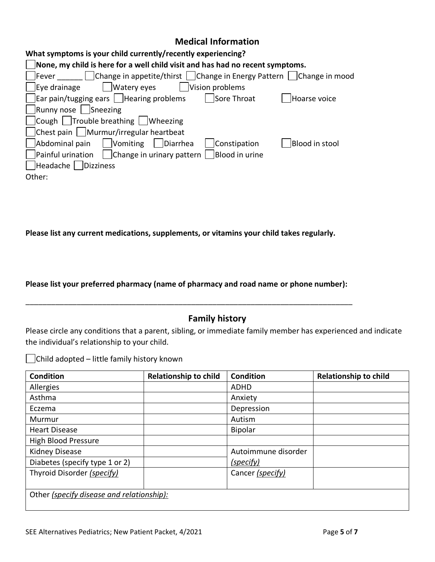## **Medical Information**

| What symptoms is your child currently/recently experiencing?                                       |                |
|----------------------------------------------------------------------------------------------------|----------------|
| None, my child is here for a well child visit and has had no recent symptoms.                      |                |
| Change in appetite/thirst   Change in Energy Pattern   Change in mood<br> Fever                    |                |
| Watery eyes<br>Eye drainage<br>Vision problems                                                     |                |
| $\vert$ Ear pain/tugging ears $\vert$ Hearing problems<br>Sore Throat                              | Hoarse voice   |
| Runny nose   Sneezing                                                                              |                |
| $\vert$ Cough $\vert$ Trouble breathing $\vert$ Wheezing                                           |                |
| Chest pain   Murmur/irregular heartbeat                                                            |                |
| Vomiting     Diarrhea<br>Abdominal pain<br>Constipation                                            | Blood in stool |
| $\vert$ Painful urination $\vert$ $\vert$ Change in urinary pattern $\vert$ $\vert$ Blood in urine |                |
| Headache   Dizziness                                                                               |                |
| Other:                                                                                             |                |
|                                                                                                    |                |

**Please list any current medications, supplements, or vitamins your child takes regularly.**

**Please list your preferred pharmacy (name of pharmacy and road name or phone number):**

\_\_\_\_\_\_\_\_\_\_\_\_\_\_\_\_\_\_\_\_\_\_\_\_\_\_\_\_\_\_\_\_\_\_\_\_\_\_\_\_\_\_\_\_\_\_\_\_\_\_\_\_\_\_\_\_\_\_\_\_\_\_\_\_\_\_\_\_\_\_\_\_\_\_\_\_\_

# **Family history**

Please circle any conditions that a parent, sibling, or immediate family member has experienced and indicate the individual's relationship to your child.

 $\Box$ Child adopted – little family history known

| <b>Condition</b>                          | <b>Relationship to child</b> | <b>Condition</b>    | <b>Relationship to child</b> |
|-------------------------------------------|------------------------------|---------------------|------------------------------|
| Allergies                                 |                              | ADHD                |                              |
| Asthma                                    |                              | Anxiety             |                              |
| Eczema                                    |                              | Depression          |                              |
| Murmur                                    |                              | Autism              |                              |
| <b>Heart Disease</b>                      |                              | <b>Bipolar</b>      |                              |
| High Blood Pressure                       |                              |                     |                              |
| <b>Kidney Disease</b>                     |                              | Autoimmune disorder |                              |
| Diabetes (specify type 1 or 2)            |                              | (specify)           |                              |
| Thyroid Disorder (specify)                |                              | Cancer (specify)    |                              |
| Other (specify disease and relationship): |                              |                     |                              |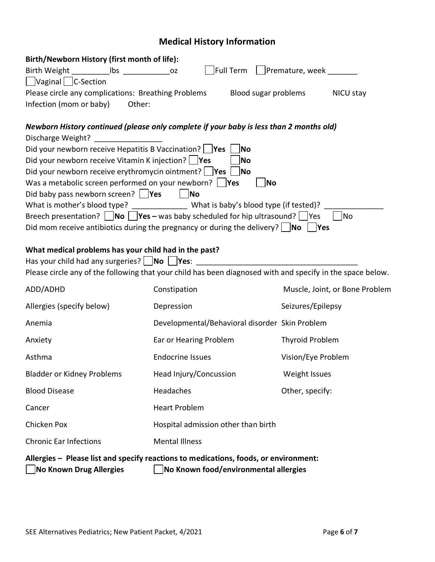# **Medical History Information**

| Birth/Newborn History (first month of life):                                                                           |                                     |                                                |                                |  |  |
|------------------------------------------------------------------------------------------------------------------------|-------------------------------------|------------------------------------------------|--------------------------------|--|--|
|                                                                                                                        |                                     | Full Term   Premature, week ______             |                                |  |  |
| □Vaginal <b>□C-Section</b>                                                                                             |                                     |                                                |                                |  |  |
| Please circle any complications: Breathing Problems                                                                    |                                     | Blood sugar problems                           | NICU stay                      |  |  |
| Infection (mom or baby)<br>Other:                                                                                      |                                     |                                                |                                |  |  |
|                                                                                                                        |                                     |                                                |                                |  |  |
| Newborn History continued (please only complete if your baby is less than 2 months old)                                |                                     |                                                |                                |  |  |
| Discharge Weight? ________________                                                                                     |                                     |                                                |                                |  |  |
| Did your newborn receive Hepatitis B Vaccination? Ves                                                                  |                                     | No                                             |                                |  |  |
| Did your newborn receive Vitamin K injection? $\Box$ Yes<br>∣No                                                        |                                     |                                                |                                |  |  |
| Did your newborn receive erythromycin ointment? $\Box$ Yes $\Box$<br> No                                               |                                     |                                                |                                |  |  |
| Was a metabolic screen performed on your newborn? $\Box$ Yes                                                           |                                     | No                                             |                                |  |  |
| Did baby pass newborn screen? $ $ <b>Yes</b>                                                                           | $\vert$ No                          |                                                |                                |  |  |
| What is mother's blood type? ________________ What is baby's blood type (if tested)?                                   |                                     |                                                |                                |  |  |
| Breech presentation? $\Box$ No $\Box$ Yes – was baby scheduled for hip ultrasound? $\Box$ Yes                          |                                     |                                                | No                             |  |  |
| Did mom receive antibiotics during the pregnancy or during the delivery? $\Box$ No $\Box$ Yes                          |                                     |                                                |                                |  |  |
| What medical problems has your child had in the past?                                                                  |                                     |                                                |                                |  |  |
| Has your child had any surgeries? No Yes: ___________                                                                  |                                     |                                                |                                |  |  |
| Please circle any of the following that your child has been diagnosed with and specify in the space below.             |                                     |                                                |                                |  |  |
|                                                                                                                        |                                     |                                                |                                |  |  |
| ADD/ADHD                                                                                                               | Constipation                        |                                                | Muscle, Joint, or Bone Problem |  |  |
| Allergies (specify below)                                                                                              | Depression                          | Seizures/Epilepsy                              |                                |  |  |
| Anemia                                                                                                                 |                                     | Developmental/Behavioral disorder Skin Problem |                                |  |  |
| Anxiety                                                                                                                | Ear or Hearing Problem              | Thyroid Problem                                |                                |  |  |
| Asthma                                                                                                                 | <b>Endocrine Issues</b>             | Vision/Eye Problem                             |                                |  |  |
| <b>Bladder or Kidney Problems</b>                                                                                      | Head Injury/Concussion              | Weight Issues                                  |                                |  |  |
| <b>Blood Disease</b>                                                                                                   | Headaches                           | Other, specify:                                |                                |  |  |
| Cancer                                                                                                                 | <b>Heart Problem</b>                |                                                |                                |  |  |
| Chicken Pox                                                                                                            | Hospital admission other than birth |                                                |                                |  |  |
| <b>Chronic Ear Infections</b>                                                                                          | <b>Mental Illness</b>               |                                                |                                |  |  |
| Allergies - Please list and specify reactions to medications, foods, or environment:<br><b>No Known Drug Allergies</b> |                                     | No Known food/environmental allergies          |                                |  |  |